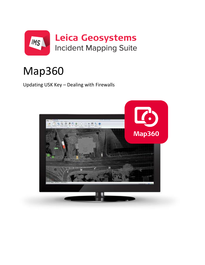

# Map360

Updating USK Key - Dealing with Firewalls

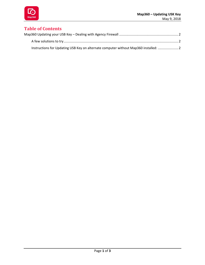

## **Table of Contents**

| Instructions for Updating USB Key on alternate computer without Map360 installed:  2 |
|--------------------------------------------------------------------------------------|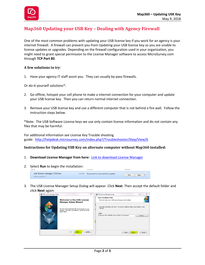

## <span id="page-2-0"></span>**Map360 Updating your USB Key – Dealing with Agency Firewall**

One of the most common problems with updating your USB license key if you work for an agency is your internet firewall. A firewall can prevent you from Updating your USB license key so you are unable to license updates or upgrades. Depending on the firewall configuration used in your organization, you might need to grant special permission to the License Manager software to access MicroSurvey.com through **TCP Port 80**.

### <span id="page-2-1"></span>**A few solutions to try**:

1. Have your agency IT staff assist you. They can usually by-pass firewalls.

Or do-it-yourself solutions\*:

- 2. Go offline, hotspot your cell phone to make a internet connection for your computer and update your USB license key. Then you can return normal internet connection.
- 3. Remove your USB license key and use a different computer that is not behind a fire wall. Follow the instruction steps below.

\*Note: The USB Software License keys we use only contain license information and do not contain any files that may be harmful.

For additional information see License Key Trouble shooting guide: [http://helpdesk.microsurvey.com/index.php?/Troubleshooter/Step/View/6](http://helpdesk.microsurvey.com/index.php?/Troubleshooter/Step/View/6%20)

### <span id="page-2-2"></span>**Instructions for Updating USB Key on alternate computer without Map360 installed:**

- 1. **Download License Manager from here:** [Link to download License Manager](http://www.microsurvey.com/downloads/lm/usb-license-manager-2.0.0.exe)
- 2. Select **Run** to begin the installation:



3. The USB License Manager Setup Dialog will appear. Click **Next**. Then accept the default folder and click **Next** again: